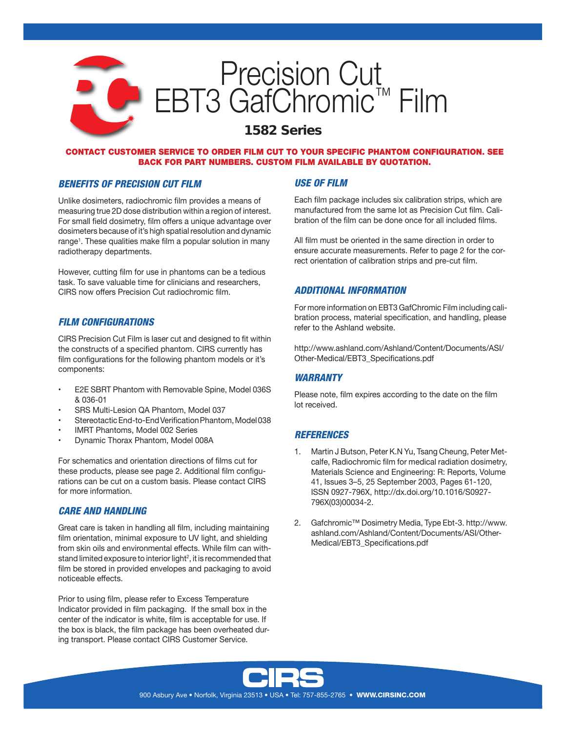# Precision Cut EBT3 GafChromic™ Film

# *1582 Series*

#### CONTACT CUSTOMER SERVICE TO ORDER FILM CUT TO YOUR SPECIFIC PHANTOM CONFIGURATION. SEE BACK FOR PART NUMBERS. CUSTOM FILM AVAILABLE BY QUOTATION.

#### *BENEFITS OF PRECISION CUT FILM*

Unlike dosimeters, radiochromic film provides a means of measuring true 2D dose distribution within a region of interest. For small field dosimetry, film offers a unique advantage over dosimeters because of it's high spatial resolution and dynamic range1 . These qualities make film a popular solution in many radiotherapy departments.

However, cutting film for use in phantoms can be a tedious task. To save valuable time for clinicians and researchers, CIRS now offers Precision Cut radiochromic film.

## *FILM CONFIGURATIONS*

CIRS Precision Cut Film is laser cut and designed to fit within the constructs of a specified phantom. CIRS currently has film configurations for the following phantom models or it's components:

- E2E SBRT Phantom with Removable Spine, Model 036S & 036-01
- SRS Multi-Lesion QA Phantom, Model 037
- Stereotactic End-to-End Verification Phantom, Model 038
- IMRT Phantoms, Model 002 Series
- Dynamic Thorax Phantom, Model 008A

For schematics and orientation directions of films cut for these products, please see page 2. Additional film configurations can be cut on a custom basis. Please contact CIRS for more information.

#### *CARE AND HANDLING*

Great care is taken in handling all film, including maintaining film orientation, minimal exposure to UV light, and shielding from skin oils and environmental effects. While film can withstand limited exposure to interior light<sup>2</sup>, it is recommended that film be stored in provided envelopes and packaging to avoid noticeable effects.

Prior to using film, please refer to Excess Temperature Indicator provided in film packaging. If the small box in the center of the indicator is white, film is acceptable for use. If the box is black, the film package has been overheated during transport. Please contact CIRS Customer Service.

### *USE OF FILM*

Each film package includes six calibration strips, which are manufactured from the same lot as Precision Cut film. Calibration of the film can be done once for all included films.

All film must be oriented in the same direction in order to ensure accurate measurements. Refer to page 2 for the correct orientation of calibration strips and pre-cut film.

#### *ADDITIONAL INFORMATION*

For more information on EBT3 GafChromic Film including calibration process, material specification, and handling, please refer to the Ashland website.

http://www.ashland.com/Ashland/Content/Documents/ASI/ Other-Medical/EBT3\_Specifications.pdf

## *WARRANTY*

Please note, film expires according to the date on the film lot received.

#### *REFERENCES*

- 1. Martin J Butson, Peter K.N Yu, Tsang Cheung, Peter Metcalfe, Radiochromic film for medical radiation dosimetry, Materials Science and Engineering: R: Reports, Volume 41, Issues 3–5, 25 September 2003, Pages 61-120, ISSN 0927-796X, http://dx.doi.org/10.1016/S0927- 796X(03)00034-2.
- 2. Gafchromic™ Dosimetry Media, Type Ebt-3. http://www. ashland.com/Ashland/Content/Documents/ASI/Other-Medical/EBT3\_Specifications.pdf